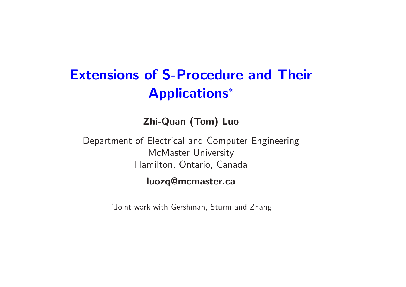## **Extensions of S-Procedure and Their Applications** ∗

**Zhi-Quan (Tom) Luo**

Department of Electrical and Computer Engineering McMaster University Hamilton, Ontario, Canada

#### **luozq@mcmaster.ca**

<sup>∗</sup>Joint work with Gershman, Sturm and Zhang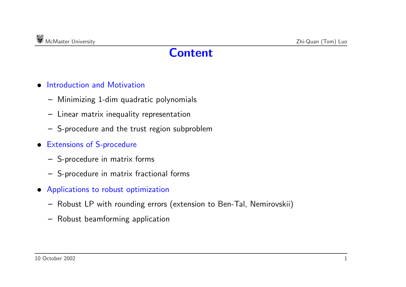### **Content**

- Introduction and Motivation
	- **–** Minimizing 1-dim quadratic polynomials
	- **–** Linear matrix inequality representation
	- **–** S-procedure and the trust region subproblem
- Extensions of S-procedure
	- **–** S-procedure in matrix forms
	- **–** S-procedure in matrix fractional forms
- Applications to robust optimization
	- **–** Robust LP with rounding errors (extension to Ben-Tal, Nemirovskii)
	- **–** Robust beamforming application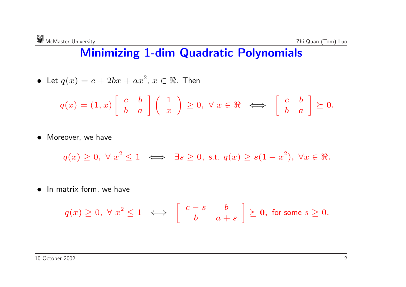## **Minimizing 1-dim Quadratic Polynomials**

• Let 
$$
q(x) = c + 2bx + ax^2
$$
,  $x \in \Re$ . Then

$$
q(x) = (1, x) \begin{bmatrix} c & b \\ b & a \end{bmatrix} \begin{pmatrix} 1 \\ x \end{pmatrix} \geq 0, \ \forall \ x \in \Re \iff \begin{bmatrix} c & b \\ b & a \end{bmatrix} \succeq \mathbf{0}.
$$

• Moreover, we have

$$
q(x) \ge 0, \ \forall \ x^2 \le 1 \iff \exists s \ge 0, \text{ s.t. } q(x) \ge s(1-x^2), \ \forall x \in \Re.
$$

• In matrix form, we have

$$
q(x) \ge 0, \ \forall \ x^2 \le 1 \iff \begin{bmatrix} c-s & b \\ b & a+s \end{bmatrix} \succeq 0, \text{ for some } s \ge 0.
$$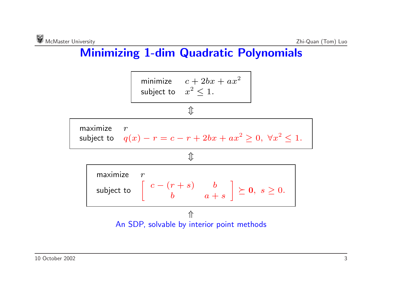## **Minimizing 1-dim Quadratic Polynomials**



An SDP, solvable by interior point methods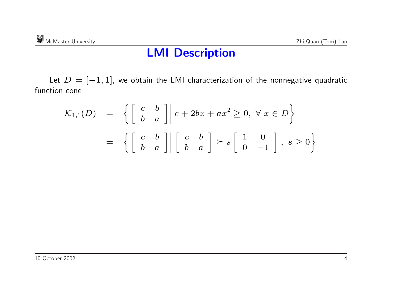#### **LMI Description**

Let  $D = [-1, 1]$ , we obtain the LMI characterization of the nonnegative quadratic function cone

$$
\mathcal{K}_{1,1}(D) = \left\{ \begin{bmatrix} c & b \\ b & a \end{bmatrix} \middle| c + 2bx + ax^2 \ge 0, \forall x \in D \right\}
$$
  
= 
$$
\left\{ \begin{bmatrix} c & b \\ b & a \end{bmatrix} \middle| \begin{bmatrix} c & b \\ b & a \end{bmatrix} \succeq s \begin{bmatrix} 1 & 0 \\ 0 & -1 \end{bmatrix}, s \ge 0 \right\}
$$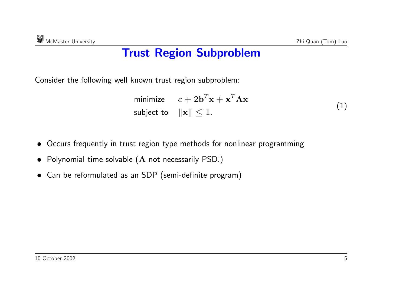## **Trust Region Subproblem**

Consider the following well known trust region subproblem:

$$
\begin{array}{ll}\text{minimize} & c + 2\mathbf{b}^T \mathbf{x} + \mathbf{x}^T \mathbf{A} \mathbf{x} \\ \text{subject to} & \| \mathbf{x} \| \le 1. \end{array} \tag{1}
$$

- Occurs frequently in trust region type methods for nonlinear programming
- Polynomial time solvable (**<sup>A</sup>** not necessarily PSD.)
- Can be reformulated as an SDP (semi-definite program)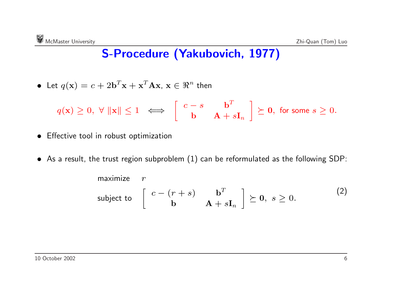## **S-Procedure (Yakubovich, 1977)**

• Let 
$$
q(\mathbf{x}) = c + 2\mathbf{b}^T \mathbf{x} + \mathbf{x}^T \mathbf{A} \mathbf{x}, \mathbf{x} \in \mathbb{R}^n
$$
 then

$$
q(\mathbf{x}) \geq 0, \ \forall \ \|\mathbf{x}\| \leq 1 \ \iff \left[\begin{array}{cc} c-s & \mathbf{b}^T \\ \mathbf{b} & \mathbf{A}+s\mathbf{I}_n \end{array}\right] \succeq \mathbf{0}, \text{ for some } s \geq 0.
$$

- Effective tool in robust optimization
- $\bullet~$  As a result, the trust region subproblem  $(1)$  can be reformulated as the following SDP:

maximize 
$$
r
$$
  
subject to  $\begin{bmatrix} c - (r+s) & \mathbf{b}^T \\ \mathbf{b} & \mathbf{A} + s\mathbf{I}_n \end{bmatrix} \succeq \mathbf{0}, s \ge 0.$  (2)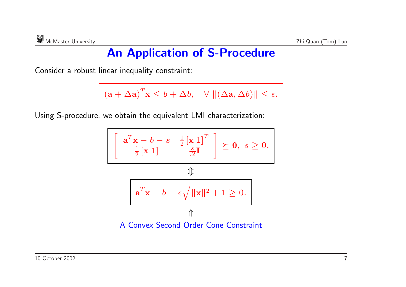## **An Application of S-Procedure**

Consider <sup>a</sup> robust linear inequality constraint:

$$
(\mathbf{a} + \Delta \mathbf{a})^T \mathbf{x} \leq b + \Delta b, \quad \forall ||(\Delta \mathbf{a}, \Delta b)|| \leq \epsilon.
$$

Using S-procedure, we obtain the equivalent LMI characterization:

$$
\left[\begin{array}{c} \mathbf{a}^T \mathbf{x} - b - s & \frac{1}{2} \begin{bmatrix} \mathbf{x} & 1 \end{bmatrix}^T \\ \frac{1}{2} \begin{bmatrix} \mathbf{x} & 1 \end{bmatrix} & \frac{s}{\epsilon^2} \mathbf{I} \end{array}\right] \succeq \mathbf{0}, \ s \ge 0.
$$
\n
$$
\mathbf{a}^T \mathbf{x} - b - \epsilon \sqrt{\|\mathbf{x}\|^2 + 1} \ge 0.
$$
\n
$$
\uparrow
$$
\nA Convex Second Order Cone Constraint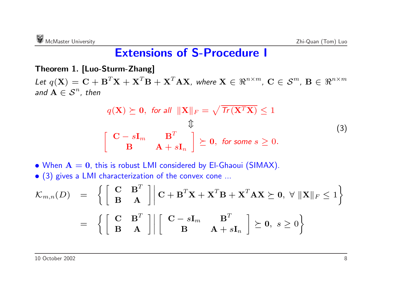#### **Extensions of S-Procedure I**

**Theorem 1. [Luo-Sturm-Zhang]** Let  $q(\mathbf{X}) = \mathbf{C} + \mathbf{B}^T \mathbf{X} + \mathbf{X}^T \mathbf{B} + \mathbf{X}^T \mathbf{A} \mathbf{X}$ , where  $\mathbf{X} \in \mathbb{R}^{n \times m}$ ,  $\mathbf{C} \in \mathcal{S}^m$ ,  $\mathbf{B} \in \mathbb{R}^{n \times m}$ *and*  $A \in S^n$ *, then* 

$$
q(\mathbf{X}) \succeq \mathbf{0}, \text{ for all } \|\mathbf{X}\|_{F} = \sqrt{\text{Tr}(\mathbf{X}^{T}\mathbf{X})} \le 1
$$
  

$$
\updownarrow
$$
  

$$
\left[\begin{array}{cc} \mathbf{C} - s\mathbf{I}_{m} & \mathbf{B}^{T} \\ \mathbf{B} & \mathbf{A} + s\mathbf{I}_{n} \end{array}\right] \succeq \mathbf{0}, \text{ for some } s \ge 0.
$$
 (3)

 $\bullet$  When  $\mathbf{A} = \mathbf{0}$ , this is robust LMI considered by El-Ghaoui (SIMAX).

• (3) <sup>g</sup>ives <sup>a</sup> LMI characterization of the convex cone ...

$$
\mathcal{K}_{m,n}(D) = \left\{ \begin{bmatrix} \mathbf{C} & \mathbf{B}^T \\ \mathbf{B} & \mathbf{A} \end{bmatrix} \middle| \mathbf{C} + \mathbf{B}^T \mathbf{X} + \mathbf{X}^T \mathbf{B} + \mathbf{X}^T \mathbf{A} \mathbf{X} \succeq \mathbf{0}, \ \forall \ ||\mathbf{X}||_F \le 1 \right\}
$$
  
= 
$$
\left\{ \begin{bmatrix} \mathbf{C} & \mathbf{B}^T \\ \mathbf{B} & \mathbf{A} \end{bmatrix} \middle| \begin{bmatrix} \mathbf{C} - s\mathbf{I}_m & \mathbf{B}^T \\ \mathbf{B} & \mathbf{A} + s\mathbf{I}_n \end{bmatrix} \succeq \mathbf{0}, \ s \ge 0 \right\}
$$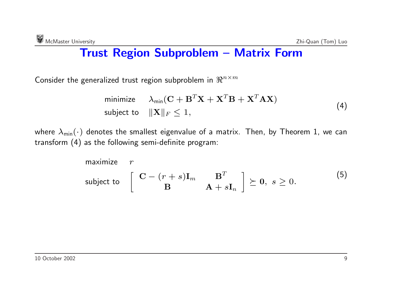## **Trust Region Subproblem – Matrix Form**

Consider the generalized trust region subproblem in  $\Re^{n \times m}$ 

minimize 
$$
\lambda_{\min}(\mathbf{C} + \mathbf{B}^T \mathbf{X} + \mathbf{X}^T \mathbf{B} + \mathbf{X}^T \mathbf{A} \mathbf{X})
$$
  
subject to  $\|\mathbf{X}\|_F \le 1$ , 
$$
(4)
$$

where  $\lambda_{\text{min}}(\cdot)$  denotes the smallest eigenvalue of a matrix. Then, by Theorem 1, we can transform (4) as the following semi-definite program:

maximize 
$$
r
$$
  
subject to  $\begin{bmatrix} \mathbf{C} - (r+s)\mathbf{I}_m & \mathbf{B}^T \\ \mathbf{B} & \mathbf{A} + s\mathbf{I}_n \end{bmatrix} \succeq \mathbf{0}, s \ge 0.$  (5)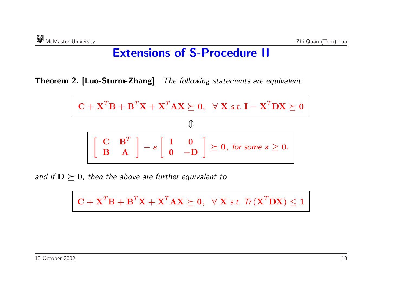### **Extensions of S-Procedure II**

**Theorem 2. [Luo-Sturm-Zhang]** *The following statements are equivalent:*

$$
\mathbf{C} + \mathbf{X}^T \mathbf{B} + \mathbf{B}^T \mathbf{X} + \mathbf{X}^T \mathbf{A} \mathbf{X} \succeq \mathbf{0}, \quad \forall \mathbf{X} \text{ s.t. } \mathbf{I} - \mathbf{X}^T \mathbf{D} \mathbf{X} \succeq \mathbf{0}
$$
  

$$
\begin{bmatrix} \mathbf{C} & \mathbf{B}^T \\ \mathbf{B} & \mathbf{A} \end{bmatrix} - s \begin{bmatrix} \mathbf{I} & \mathbf{0} \\ \mathbf{0} & -\mathbf{D} \end{bmatrix} \succeq \mathbf{0}, \text{ for some } s \ge 0.
$$

*and* if  $D \succeq 0$ *, then the above are further equivalent to* 

 $\mathbf{C} + \mathbf{X}^T \mathbf{B} + \mathbf{B}^T \mathbf{X} + \mathbf{X}^T \mathbf{A} \mathbf{X} \succeq \mathbf{0}, \ \ \forall \ \mathbf{X} \text{ s.t. } \mathsf{Tr}(\mathbf{X}^T \mathbf{D} \mathbf{X}) \leq 1$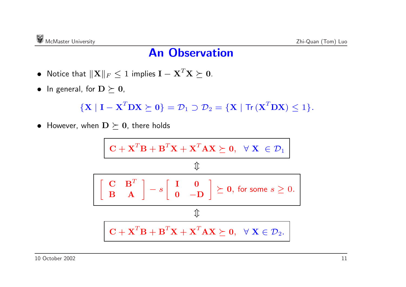### **An Observation**

- $\bullet$  Notice that  $\|\mathbf{X}\|_F \leq 1$  implies  $\mathbf{I} \mathbf{X}^T\mathbf{X} \succeq \mathbf{0}.$
- $\bullet$  In general, for  $\mathbf{D}\succeq\mathbf{0},$

$$
\{ \mathbf{X} \mid \mathbf{I} - \mathbf{X}^T \mathbf{D} \mathbf{X} \succeq \mathbf{0} \} = \mathcal{D}_1 \supset \mathcal{D}_2 = \{ \mathbf{X} \mid \mathsf{Tr} \left( \mathbf{X}^T \mathbf{D} \mathbf{X} \right) \leq 1 \}.
$$

 $\bullet$  However, when  $\mathbf{D}\succeq\mathbf{0},$  there holds

$$
\mathbf{C} + \mathbf{X}^T \mathbf{B} + \mathbf{B}^T \mathbf{X} + \mathbf{X}^T \mathbf{A} \mathbf{X} \succeq \mathbf{0}, \quad \forall \ \mathbf{X} \ \in \mathcal{D}_1
$$
  

$$
\mathbf{\downarrow}
$$
  

$$
\begin{bmatrix}\n\mathbf{C} & \mathbf{B}^T \\
\mathbf{B} & \mathbf{A}\n\end{bmatrix} - s \begin{bmatrix}\n\mathbf{I} & \mathbf{0} \\
\mathbf{0} & -\mathbf{D}\n\end{bmatrix} \succeq \mathbf{0}, \text{ for some } s \ge 0.
$$
  

$$
\mathbf{\downarrow}
$$
  

$$
\mathbf{C} + \mathbf{X}^T \mathbf{B} + \mathbf{B}^T \mathbf{X} + \mathbf{X}^T \mathbf{A} \mathbf{X} \succeq \mathbf{0}, \quad \forall \ \mathbf{X} \in \mathcal{D}_2.
$$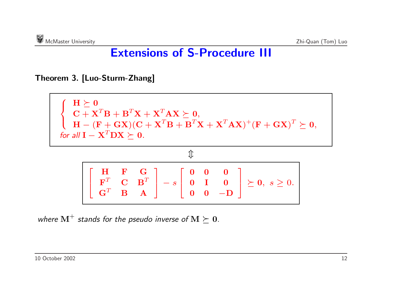## **Extensions of S-Procedure III**

**Theorem 3. [Luo-Sturm-Zhang]**



*where*  $M^{+}$  *stands for the pseudo inverse of*  $M \succeq 0$ *.*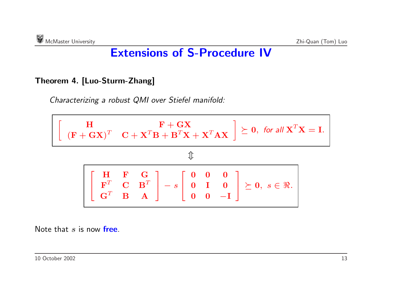## **Extensions of S-Procedure IV**

#### **Theorem 4. [Luo-Sturm-Zhang]**

*Characterizing <sup>a</sup> robust QMI over Stiefel manifold:*



Note that *<sup>s</sup>* is now **free**.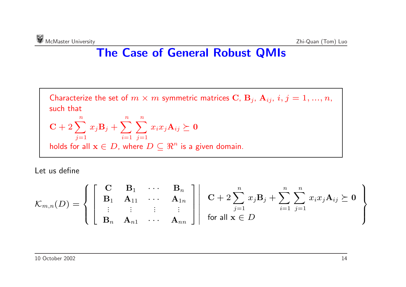## **The Case of General Robust QMIs**

Characterize the set of  $m \times m$  symmetric matrices C,  $B_j$ ,  $A_{ij}$ ,  $i, j = 1, ..., n$ , such that  $\mathbf{C} + 2\sum$ *n*  $x_j\mathbf{B}_j+\sum$ *n*  $\sum$ *n*  $x_ix_j\mathbf{A}_{ij}\succeq\mathbf{0}$ 

$$
\overline{y=1}
$$
\nholds for all  $\mathbf{x} \in D$ , where  $D \subseteq \mathbb{R}^n$  is a given domain.

Let us define

$$
\mathcal{K}_{m,n}(D) = \left\{ \begin{bmatrix} \mathbf{C} & \mathbf{B}_1 & \cdots & \mathbf{B}_n \\ \mathbf{B}_1 & \mathbf{A}_{11} & \cdots & \mathbf{A}_{1n} \\ \vdots & \vdots & \vdots & \vdots \\ \mathbf{B}_n & \mathbf{A}_{n1} & \cdots & \mathbf{A}_{nn} \end{bmatrix} \middle| \begin{array}{c} \mathbf{C} + 2 \sum_{j=1}^n x_j \mathbf{B}_j + \sum_{i=1}^n \sum_{j=1}^n x_i x_j \mathbf{A}_{ij} \succeq \mathbf{0} \\ \text{for all } \mathbf{x} \in D \end{array} \right\}
$$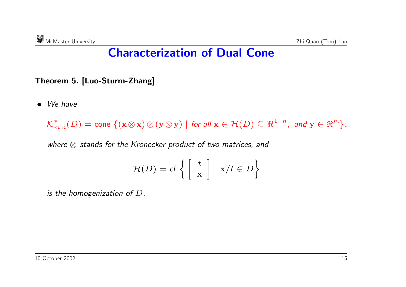## **Characterization of Dual Cone**

#### **Theorem 5. [Luo-Sturm-Zhang]**

• *We have*

 $\mathcal{K}_{m,n}^*(D) = \text{cone } \{ (\mathbf{x} \otimes \mathbf{x}) \otimes (\mathbf{y} \otimes \mathbf{y}) \mid \text{for all } \mathbf{x} \in \mathcal{H}(D) \subseteq \Re^{1+n}, \text{ and } \mathbf{y} \in \Re^m \},$ 

*where* ⊗ *stands for the Kronecker product of two matrices, and*

$$
\mathcal{H}(D) = cl \left\{ \left[ \begin{array}{c} t \\ \mathbf{x} \end{array} \right] \middle| \ \mathbf{x}/t \in D \right\}
$$

*is the homogenization of D.*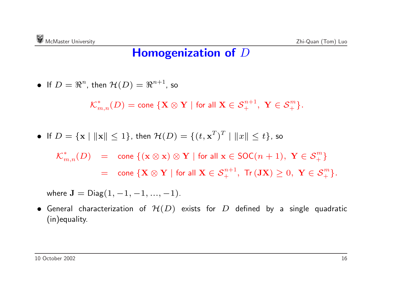#### **Homogenization of** *D*

• If 
$$
D = \mathbb{R}^n
$$
, then  $\mathcal{H}(D) = \mathbb{R}^{n+1}$ , so

$$
{\mathcal K}_{m,n}^*(D) = {\mathrm{cone}}\ \{{\mathbf X} \otimes {\mathbf Y} \mid {\mathrm{for \ all \ } {\mathbf X} \in {\mathcal S}_+^{n+1}, \ {\mathbf Y} \in {\mathcal S}_+^m\}.
$$

• If 
$$
D = {\mathbf{x} \mid ||\mathbf{x}|| \le 1}
$$
, then  $\mathcal{H}(D) = {(t, \mathbf{x}^T)^T \mid ||x|| \le t}$ , so

$$
\mathcal{K}^*_{m,n}(D) = \text{cone } \{ (\mathbf{x} \otimes \mathbf{x}) \otimes \mathbf{Y} \mid \text{for all } \mathbf{x} \in \text{SOC}(n+1), \ \mathbf{Y} \in \mathcal{S}^m_+ \}
$$

= $\mathbf{C} = \mathsf{cone}\;\{\mathbf{X}\otimes\mathbf{Y}\mid \text{for all } \mathbf{X}\in\mathcal{S}_+^{n+1},\; \mathsf{Tr}\left(\mathbf{JX}\right)\geq 0,\; \mathbf{Y}\in\mathcal{S}_+^m\}.$ 

where  $J = Diag(1, -1, -1, ..., -1)$ .

 $\bullet$  General characterization of  $\mathcal{H}(D)$  exists for  $D$  defined by a single quadratic (in)equality.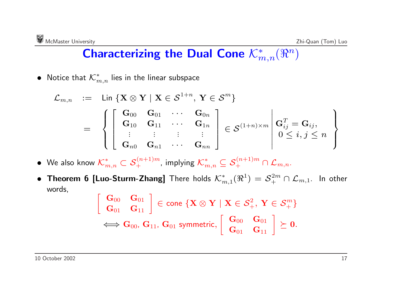## $\mathsf{Characterizing\ the\ Dual\ Cone}\ \mathcal{K}^*_{m,n}(\Re^n)$

 $\bullet$  Notice that  ${\mathcal K}_{m,n}^*$  lies in the linear subspace

$$
\begin{array}{rcl}\mathcal{L}_{m,n} & := & \mathsf{Lin}\left\{\mathbf{X} \otimes \mathbf{Y} \mid \mathbf{X} \in \mathcal{S}^{1+n}, \, \mathbf{Y} \in \mathcal{S}^m\right\} \\
 & = & \left\{\left[\begin{array}{cccc} \mathbf{G}_{00} & \mathbf{G}_{01} & \cdots & \mathbf{G}_{0n} \\ \mathbf{G}_{10} & \mathbf{G}_{11} & \cdots & \mathbf{G}_{1n} \\ \vdots & \vdots & \vdots & \vdots \\ \mathbf{G}_{n0} & \mathbf{G}_{n1} & \cdots & \mathbf{G}_{nn} \end{array}\right] \in \mathcal{S}^{(1+n)\times m} \middle| \begin{array}{c} \mathbf{G}_{ij}^T = \mathbf{G}_{ij}, \\ 0 \leq i,j \leq n \end{array}\right\}\end{array}
$$

 $\bullet$  We also know  $\mathcal{K}^*_{m,n}\subset\mathcal{S}_+^{(n+1)m}$ , implying  $\mathcal{K}^*_{m,n}\subseteq\mathcal{S}_+^{(n+1)m}\cap\mathcal{L}_{m,n}.$ 

• Theorem 6 [Luo-Sturm-Zhang] There holds  $\mathcal{K}^*_{m,1}(\Re^1) = \mathcal{S}_+^{2m} \cap \mathcal{L}_{m,1}$ . In other words,

$$
\left[\begin{array}{cc} \mathbf{G}_{00} & \mathbf{G}_{01} \\ \mathbf{G}_{01} & \mathbf{G}_{11} \end{array}\right] \in \text{cone }\{\mathbf{X} \otimes \mathbf{Y} \mid \mathbf{X} \in \mathcal{S}^2_+, \mathbf{Y} \in \mathcal{S}^m_+\} \atop \Longleftrightarrow \mathbf{G}_{00}, \mathbf{G}_{11}, \mathbf{G}_{01} \text{ symmetric, } \left[\begin{array}{cc} \mathbf{G}_{00} & \mathbf{G}_{01} \\ \mathbf{G}_{01} & \mathbf{G}_{11} \end{array}\right] \succeq \mathbf{0}.
$$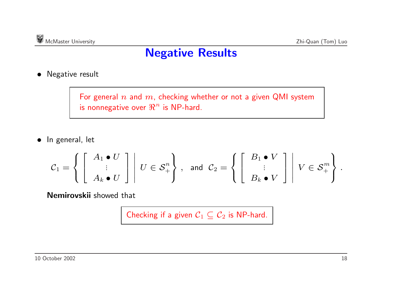## **Negative Results**

• Negative result

For general *<sup>n</sup>* and *<sup>m</sup>*, checking whether or not <sup>a</sup> given QMI system is nonnegative over  $\mathbb{R}^n$  is NP-hard.

• In general, let

$$
\mathcal{C}_1=\left\{\left[\begin{array}{c}A_1\bullet U\\ \vdots\\ A_k\bullet U\end{array}\right]\ \middle| \ U\in\mathcal{S}_+^n\right\}\,,\;\;\text{and}\;\; \mathcal{C}_2=\left\{\left[\begin{array}{c}B_1\bullet V\\ \vdots\\ B_k\bullet V\end{array}\right]\ \middle| \ V\in\mathcal{S}_+^m\right\}\,.
$$

**Nemirovskii** showed that

Checking if a given  $C_1 \subseteq C_2$  is NP-hard.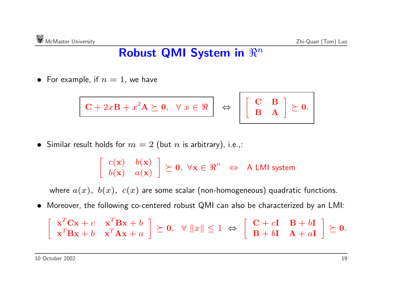## ${\bf R}$ obust QMI System in  $\real^n$

 $\bullet~$  For example, if  $n=1,$  we have

$$
\mathbf{C} + 2x\mathbf{B} + x^2\mathbf{A} \succeq \mathbf{0}, \quad \forall x \in \Re \quad \Leftrightarrow \quad \left[ \begin{array}{cc} \mathbf{C} & \mathbf{B} \\ \mathbf{B} & \mathbf{A} \end{array} \right] \succeq \mathbf{0}.
$$

 $\bullet \ \ \textsf{Similar} \ \textsf{result} \ \textsf{holds} \ \textsf{for} \ m=2 \ (\textsf{but} \ n \ \textsf{is} \ \textsf{arbitrary}), \ \textsf{i.e.,}$ 

 $\left[ \begin{array}{cc} c(\mathbf{x}) & b(\mathbf{x}) \ b(\mathbf{x}) & a(\mathbf{x}) \end{array} \right]$  $\succeq$  0,  $\forall \mathbf{x} \in \Re^n \Leftrightarrow A$  LMI system

where  $a(x)$ ,  $b(x)$ ,  $c(x)$  are some scalar (non-homogeneous) quadratic functions.

• Moreover, the following co-centered robust QMI can also be characterized by an LMI:

$$
\begin{bmatrix} \mathbf{x}^T \mathbf{C} \mathbf{x} + c & \mathbf{x}^T \mathbf{B} \mathbf{x} + b \\ \mathbf{x}^T \mathbf{B} \mathbf{x} + b & \mathbf{x}^T \mathbf{A} \mathbf{x} + a \end{bmatrix} \succeq \mathbf{0}, \quad \forall \ ||x\| \leq 1 \ \Leftrightarrow \begin{bmatrix} \mathbf{C} + c\mathbf{I} & \mathbf{B} + b\mathbf{I} \\ \mathbf{B} + b\mathbf{I} & \mathbf{A} + a\mathbf{I} \end{bmatrix} \succeq \mathbf{0}.
$$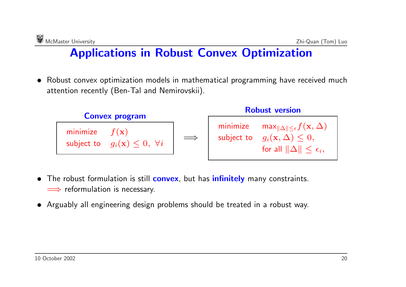## **Applications in Robust Convex Optimization**

• Robust convex optimization models in mathematical programming have received much attention recently (Ben-Tal and Nemirovskii).



- • The robust formulation is still **convex**, but has **infinitely** many constraints.  $\implies$  reformulation is necessary.
- Arguably all engineering design problems should be treated in <sup>a</sup> robust way.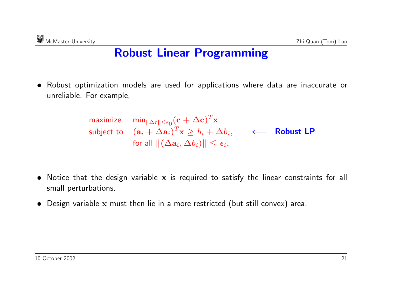## **Robust Linear Programming**

- Robust optimization models are used for applications where data are inaccurate or unreliable. For example,
	- $\mathsf{maximize} \quad \mathsf{min}_{\|\Delta \mathbf{c}\| \leq \epsilon_0} (\mathbf{c} + \Delta \mathbf{c})^T \mathbf{x}$  $\textsf{subject to} \quad (\mathbf{a}_i + \Delta \mathbf{a}_i)^T\mathbf{x} \geq b_i + \Delta b_i,$  $\quad \ \, \text{for all} \, \left\|(\Delta \mathbf{a}_i, \Delta b_i)\right\| \leq \epsilon_i,$ ⇐<sup>=</sup> **Robust LP**
- Notice that the design variable **<sup>x</sup>** is required to satisfy the linear constraints for all small perturbations.
- Design variable **<sup>x</sup>** must then lie in <sup>a</sup> more restricted (but still convex) area.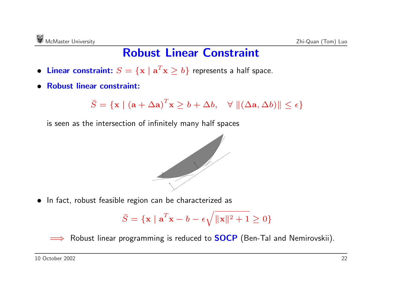### **Robust Linear Constraint**

- Linear constraint:  $S = \{ \mathbf{x} \mid \mathbf{a}^T\mathbf{x} \geq b \}$  represents a half space.
- **Robust linear constraint:**

 $\bar{S}$  $\bar{S} = \{\mathbf{x} \mid (\mathbf{a} + \Delta \mathbf{a})^T\mathbf{x} \geq b + \Delta b, \quad \forall \ \Vert (\Delta \mathbf{a}, \Delta b) \Vert \leq \epsilon\}$ 

is seen as the intersection of infinitely many half spaces



• In fact, robust feasible region can be characterized as

$$
\bar{S} = \{ \mathbf{x} \mid \mathbf{a}^T \mathbf{x} - b - \epsilon \sqrt{\|\mathbf{x}\|^2 + 1} \ge 0 \}
$$

Robust linear programming is reduced to **SOCP** (Ben-Tal and Nemirovskii).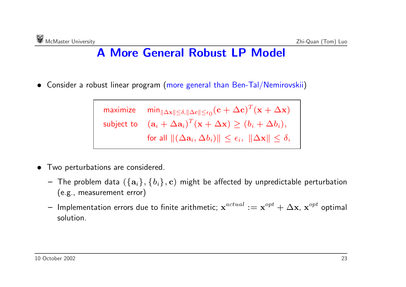## **A More General Robust LP Model**

• Consider <sup>a</sup> robust linear program (more genera<sup>l</sup> than Ben-Tal/Nemirovskii)

 $\textsf{maximize} \quad \min_{\|\Delta \mathbf{x}\| \leq \delta, \|\Delta \mathbf{c}\| \leq \epsilon_0} (\mathbf{c} + \Delta \mathbf{c})^T (\mathbf{x} + \Delta \mathbf{x})$  $(\mathbf{a}_i + \Delta \mathbf{a}_i)^T(\mathbf{x} + \Delta \mathbf{x}) \geq (b_i + \Delta b_i),$  $\text{ for all } \|(\Delta \mathbf{a}_i, \Delta b_i)\| \leq \epsilon_i, \; \|\Delta \mathbf{x}\| \leq \delta,$ 

- • Two perturbations are considered.
	- **–** The problem data ({**<sup>a</sup>***i*}*,* {*bi*}*,* **<sup>c</sup>**) might be affected by unpredictable perturbation (e.g., measurement error)
	- $-$  Implementation errors due to finite arithmetic;  $\mathbf{x}^{actual} := \mathbf{x}^{opt} + \Delta \mathbf{x}$ ,  $\mathbf{x}^{opt}$  optimal solution.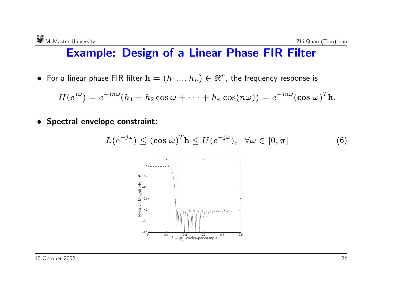#### **Example: Design of <sup>a</sup> Linear Phase FIR Filter**

 $\bullet$  For a linear phase FIR filter  $\mathbf{h} = (h_1...,h_n) \in \Re^n$ , the frequency response is

$$
H(e^{j\omega})=e^{-jn\omega}(h_1+h_2\cos\omega+\cdots+h_n\cos(n\omega))=e^{-jn\omega}(\cos\omega)^T h.
$$

• **Spectral envelope constraint:**

$$
L(e^{-j\omega}) \leq (\cos \omega)^{T} \mathbf{h} \leq U(e^{-j\omega}), \quad \forall \omega \in [0, \pi]
$$
 (6)

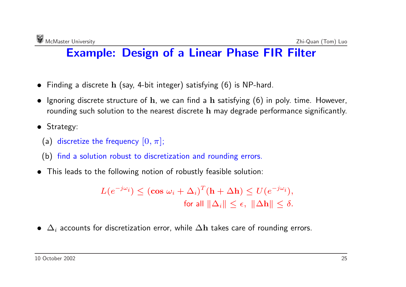## **Example: Design of <sup>a</sup> Linear Phase FIR Filter**

- Finding <sup>a</sup> discrete **<sup>h</sup>** (say, 4-bit integer) satisfying (6) is NP-hard.
- Ignoring discrete structure of **<sup>h</sup>**, we can find <sup>a</sup> **<sup>h</sup>** satisfying (6) in poly. time. However, rounding such solution to the nearest discrete **h** may degrade performance significantly.
- Strategy:
	- (a) discretize the frequency  $[0, \pi]$ ;
	- (b) find <sup>a</sup> solution robust to discretization and rounding errors.
- This leads to the following notion of robustly feasible solution:

$$
L(e^{-j\omega_i}) \leq (\cos \omega_i + \Delta_i)^T (\mathbf{h} + \Delta \mathbf{h}) \leq U(e^{-j\omega_i}),
$$
  
for all  $\|\Delta_i\| \leq \epsilon$ ,  $\|\Delta \mathbf{h}\| \leq \delta$ .

• ∆*<sup>i</sup>* accounts for discretization error, while ∆**h** takes care of rounding errors.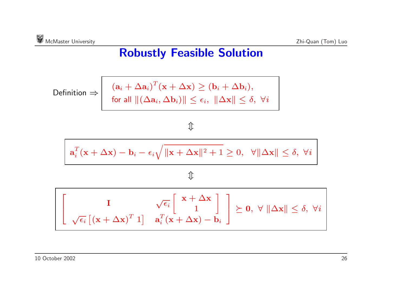## **Robustly Feasible Solution**

$$
\text{Definition} \Rightarrow \begin{vmatrix} (\mathbf{a}_i + \Delta \mathbf{a}_i)^T (\mathbf{x} + \Delta \mathbf{x}) \ge (\mathbf{b}_i + \Delta \mathbf{b}_i), \\ \text{for all } ||(\Delta \mathbf{a}_i, \Delta \mathbf{b}_i)|| \le \epsilon_i, ||\Delta \mathbf{x}|| \le \delta, \ \forall i \end{vmatrix}
$$

#### 介

$$
\mathbf{a}_i^T(\mathbf{x} + \Delta \mathbf{x}) - \mathbf{b}_i - \epsilon_i \sqrt{\|\mathbf{x} + \Delta \mathbf{x}\|^2 + 1} \ge 0, \quad \forall \|\Delta \mathbf{x}\| \le \delta, \ \forall i
$$

 $\hat{\psi}$ 

$$
\begin{bmatrix}\nI & \sqrt{\epsilon_i} \begin{bmatrix}\n\mathbf{x} + \Delta \mathbf{x} \\
1\n\end{bmatrix} \\
\sqrt{\epsilon_i} \begin{bmatrix}\n(\mathbf{x} + \Delta \mathbf{x})^T & 1\n\end{bmatrix} & \mathbf{a}_i^T(\mathbf{x} + \Delta \mathbf{x}) - \mathbf{b}_i\n\end{bmatrix} \succeq \mathbf{0}, \ \forall \ \|\Delta \mathbf{x}\| \leq \delta, \ \forall i
$$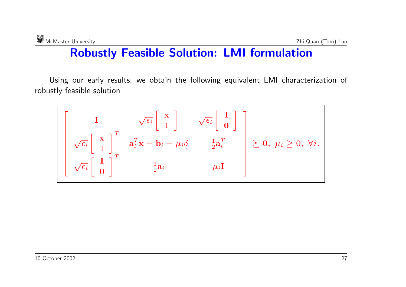## **Robustly Feasible Solution: LMI formulation**

Using our early results, we obtain the following equivalent LMI characterization of robustly feasible solution

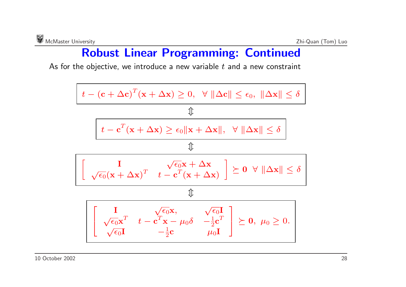## **Robust Linear Programming: Continued**

As for the objective, we introduce <sup>a</sup> new variable *t* and <sup>a</sup> new constraint

$$
\boxed{ \begin{array}{c} t-(\mathbf{c}+\Delta \mathbf{c})^T(\mathbf{x}+\Delta \mathbf{x}) \geq 0, \enspace \forall \ \|\Delta \mathbf{c}\| \leq \epsilon_0, \ \|\Delta \mathbf{x}\| \leq \delta \\ \hline \quad \quad \ \downarrow \\ \boxed{ \begin{array}{c} t-\mathbf{c}^T(\mathbf{x}+\Delta \mathbf{x}) \geq \epsilon_0\|\mathbf{x}+\Delta \mathbf{x}\|, \enspace \forall \ \|\Delta \mathbf{x}\| \leq \delta \\ \quad \ \ \downarrow \\ \end{array} }} \\ \boxed{ \begin{array}{c} \boxed{ \begin{array}{c} \mathbf{I} \\ \sqrt{\epsilon_0}(\mathbf{x}+\Delta \mathbf{x})^T \end{array} } \begin{array}{c} \sqrt{\epsilon_0}\mathbf{x}+\Delta \mathbf{x} \\ t-\mathbf{c}^T(\mathbf{x}+\Delta \mathbf{x}) \end{array} } \begin{array}{c} \geq 0 \ \forall \ \|\Delta \mathbf{x}\| \leq \delta \\ \quad \ \ \, \downarrow \\ \end{array} } \\ \boxed{ \begin{array}{c} \boxed{ \begin{array}{ccc} \mathbf{I} \\ \sqrt{\epsilon_0}\mathbf{x}^T \end{array} } \begin{array}{c} t-\mathbf{c}^T\mathbf{x} - \mu_0\delta & -\frac{1}{2}\mathbf{c}^T \\ -\frac{1}{2}\mathbf{c} \end{array} } \begin{array}{c} \geq 0, \ \mu_0 \geq 0. \end{array} } \end{array} }
$$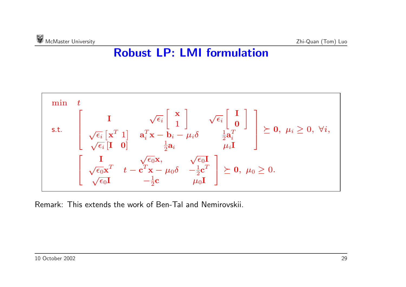## **Robust LP: LMI formulation**



Remark: This extends the work of Ben-Tal and Nemirovskii.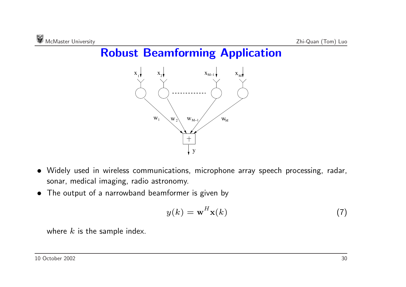## **Robust Beamforming Application**



- Widely used in wireless communications, microphone array speech processing, radar, sonar, medical imaging, radio astronomy.
- The output of <sup>a</sup> narrowband beamformer is given by

$$
y(k) = \mathbf{w}^{H} \mathbf{x}(k)
$$
 (7)

where *k* is the sample index.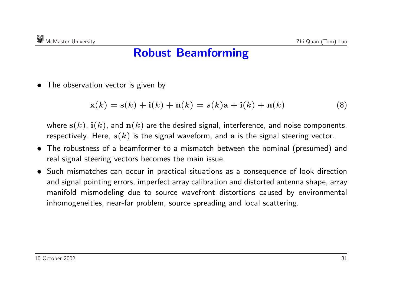• The observation vector is given by

$$
\mathbf{x}(k) = \mathbf{s}(k) + \mathbf{i}(k) + \mathbf{n}(k) = s(k)\mathbf{a} + \mathbf{i}(k) + \mathbf{n}(k)
$$
\n(8)

where  $s(k)$ ,  $\mathbf{i}(k)$ , and  $\mathbf{n}(k)$  are the desired signal, interference, and noise components, respectively. Here, *<sup>s</sup>*(*k*) is the signal waveform, and **<sup>a</sup>** is the signal steering vector.

- The robustness of <sup>a</sup> beamformer to <sup>a</sup> mismatch between the nominal (presumed) and real signal steering vectors becomes the main issue.
- Such mismatches can occur in practical situations as <sup>a</sup> consequence of look direction and signal pointing errors, imperfect array calibration and distorted antenna shape, array manifold mismodeling due to source wavefront distortions caused by environmental inhomogeneities, near-far problem, source spreading and local scattering.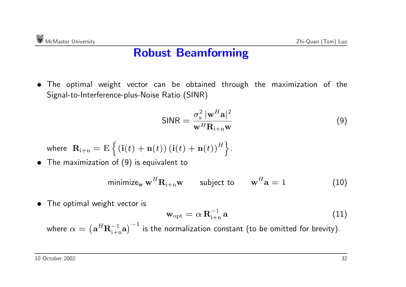• The optimal weight vector can be obtained through the maximization of the Signal-to-Interference-plus-Noise Ratio (SINR)

$$
\text{SINR} = \frac{\sigma_{\text{s}}^2 \, |\mathbf{w}^H \mathbf{a}|^2}{\mathbf{w}^H \mathbf{R}_{\mathbf{i}+\mathbf{n}} \mathbf{w}} \tag{9}
$$

where 
$$
\mathbf{R}_{i+n} = E \{ (\mathbf{i}(t) + \mathbf{n}(t)) (\mathbf{i}(t) + \mathbf{n}(t))^H \}.
$$

• The maximization of (9) is equivalent to

$$
\text{minimize}_{\mathbf{w}} \mathbf{w}^H \mathbf{R}_{i+n} \mathbf{w} \qquad \text{subject to} \qquad \mathbf{w}^H \mathbf{a} = 1 \tag{10}
$$

• The optimal weight vector is

$$
\mathbf{w}_{\mathrm{opt}} = \alpha \, \mathbf{R}_{i+n}^{-1} \, \mathbf{a} \tag{11}
$$

where  $\alpha = (\mathbf{a}^H \mathbf{R}_{i+n}^{-1} \mathbf{a})^{-1}$  is the normalization constant (to be omitted for brevity).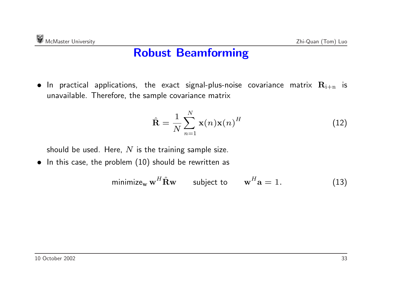$\bullet$  In practical applications, the exact signal-plus-noise covariance matrix  $\mathbf{R}_{\mathrm{i+n}}$  is unavailable. Therefore, the sample covariance matrix

$$
\hat{\mathbf{R}} = \frac{1}{N} \sum_{n=1}^{N} \mathbf{x}(n) \mathbf{x}(n)^{H}
$$
\n(12)

should be used. Here, *N* is the training sample size.

• In this case, the problem (10) should be rewritten as

$$
\text{minimize}_{\mathbf{w}} \mathbf{w}^H \hat{\mathbf{R}} \mathbf{w} \qquad \text{subject to} \qquad \mathbf{w}^H \mathbf{a} = 1. \tag{13}
$$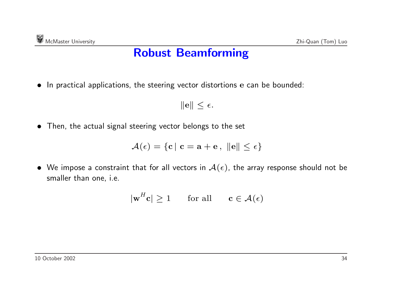• In practical applications, the steering vector distortions **<sup>e</sup>** can be bounded:

 $\|\mathbf{e}\| \leq \epsilon.$ 

• Then, the actual signal steering vector belongs to the set

 $\mathcal{A}(\epsilon) = \{c \mid c = a + e, \|\mathbf{e}\| \leq \epsilon\}$ 

 $\bullet~$  We impose a constraint that for all vectors in  $\mathcal{A}(\epsilon)$ , the array response should not be smaller than one, i.e.

$$
|\mathbf{w}^H \mathbf{c}| \ge 1 \qquad \text{for all} \qquad \mathbf{c} \in \mathcal{A}(\epsilon)
$$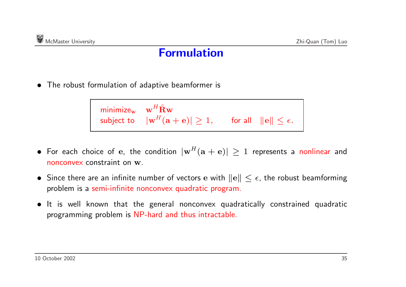### **Formulation**

• The robust formulation of adaptive beamformer is

| minimize <sub>w</sub> $\mathbf{w}^H \hat{\mathbf{R}} \mathbf{w}$ |                                                                                                    |  |
|------------------------------------------------------------------|----------------------------------------------------------------------------------------------------|--|
|                                                                  | subject to $ \mathbf{w}^H(\mathbf{a}+\mathbf{e})  \ge 1$ , for all $\ \mathbf{e}\  \le \epsilon$ . |  |

- $\bullet$  For each choice of  $\mathbf{e}$ , the condition  $|\mathbf{w}^H(\mathbf{a} + \mathbf{e})| \geq 1$  represents a nonlinear and nonconvex constraint on **<sup>w</sup>**.
- $\bullet$  Since there are an infinite number of vectors  $\mathbf{e}$  with  $\|\mathbf{e}\| \leq \epsilon$ , the robust beamforming problem is <sup>a</sup> semi-infinite nonconvex quadratic program.
- It is well known that the general nonconvex quadratically constrained quadratic programming problem is NP-hard and thus intractable.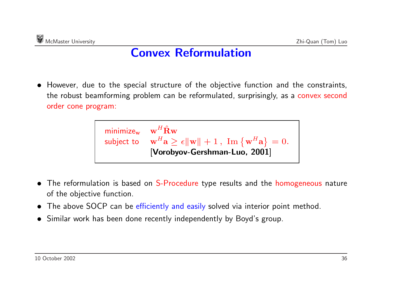## **Convex Reformulation**

• However, due to the special structure of the objective function and the constraints, the robust beamforming problem can be reformulated, surprisingly, as <sup>a</sup> convex second order cone program:



- •The reformulation is based on S-Procedure type results and the homogeneous nature of the objective function.
- The above SOCP can be efficiently and easily solved via interior point method.
- Similar work has been done recently independently by Boyd's group.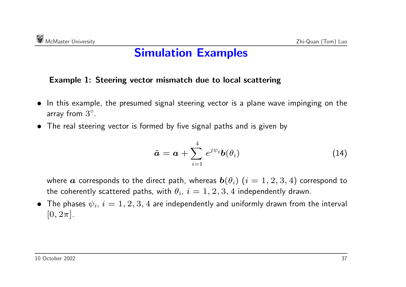### **Simulation Examples**

#### **Example 1: Steering vector mismatch due to local scattering**

- In this example, the presumed signal steering vector is <sup>a</sup> plane wave impinging on the array from  $3^\circ$ .
- The real steering vector is formed by five signal paths and is given by

$$
\tilde{\boldsymbol{a}} = \boldsymbol{a} + \sum_{i=1}^{4} e^{j\psi_i} \boldsymbol{b}(\theta_i)
$$
 (14)

where  $\boldsymbol{a}$  corresponds to the direct path, whereas  $\boldsymbol{b}(\theta_i)$   $(i = 1, 2, 3, 4)$  correspond to the coherently scattered paths, with  $\theta_i$ ,  $i = 1, 2, 3, 4$  independently drawn.

 $\bullet$  The phases  $\psi_i$ ,  $i=1,2,3,4$  are independently and uniformly drawn from the interval  $[0, 2\pi]$ .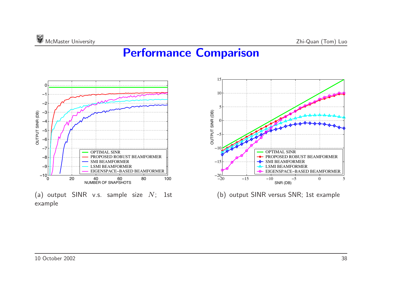## **Performance Comparison**

15



10 5 OUTPUT SINR (DB) OUTPUT SINR (DB) 0 <sup>−</sup>5 <sup>−</sup>10 OPTIMAL SINR PROPOSED ROBUST BEAMFORMER SMI BEAMFORMER <sup>−</sup>15 LSMI BEAMFORMER EIGENSPACE−BASED BEAMFORMER  $-20$ −20 −15 −10 −5 0 5 SNR (DB)

(b) output SINR versus SNR; 1st example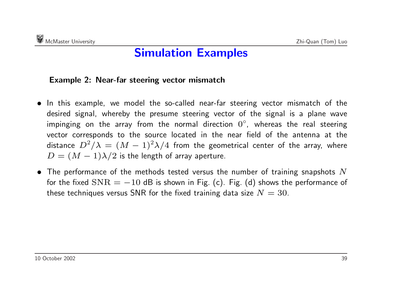### **Simulation Examples**

#### **Example 2: Near-far steering vector mismatch**

- In this example, we model the so-called near-far steering vector mismatch of the desired signal, whereby the presume steering vector of the signal is <sup>a</sup> plane wave impinging on the array from the normal direction  $0^\circ$ , whereas the real steering vector corresponds to the source located in the near field of the antenna at the distance  $D^2/\lambda = (M-1)^2\lambda/4$  from the geometrical center of the array, where  $D = (M - 1)\lambda/2$  is the length of array aperture.
- The performance of the methods tested versus the number of training snapshots *N* for the fixed  $SNR = -10$  dB is shown in Fig. (c). Fig. (d) shows the performance of these techniques versus SNR for the fixed training data size  $N = 30$ .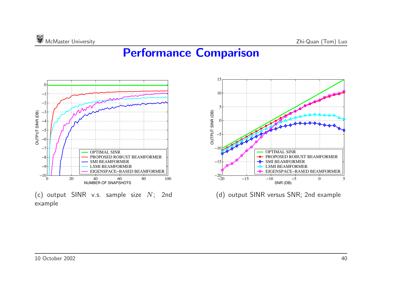## **Performance Comparison**



(c) output SINR v.s. sample size *<sup>N</sup>*; 2nd example



(d) output SINR versus SNR; 2nd example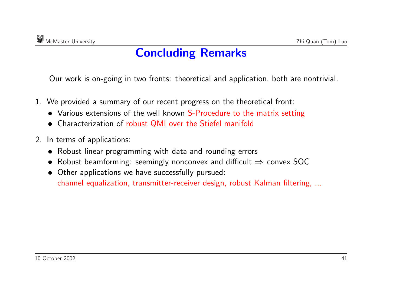## **Concluding Remarks**

Our work is on-going in two fronts: theoretical and application, both are nontrivial.

- 1. We provided <sup>a</sup> summary of our recent progress on the theoretical front:
	- Various extensions of the well known S-Procedure to the matrix setting
	- Characterization of robust QMI over the Stiefel manifold
- 2. In terms of applications:
	- Robust linear programming with data and rounding errors
	- Robust beamforming: seemingly nonconvex and difficult  $\Rightarrow$  convex SOC
	- Other applications we have successfully pursued: channel equalization, transmitter-receiver design, robust Kalman filtering, ...